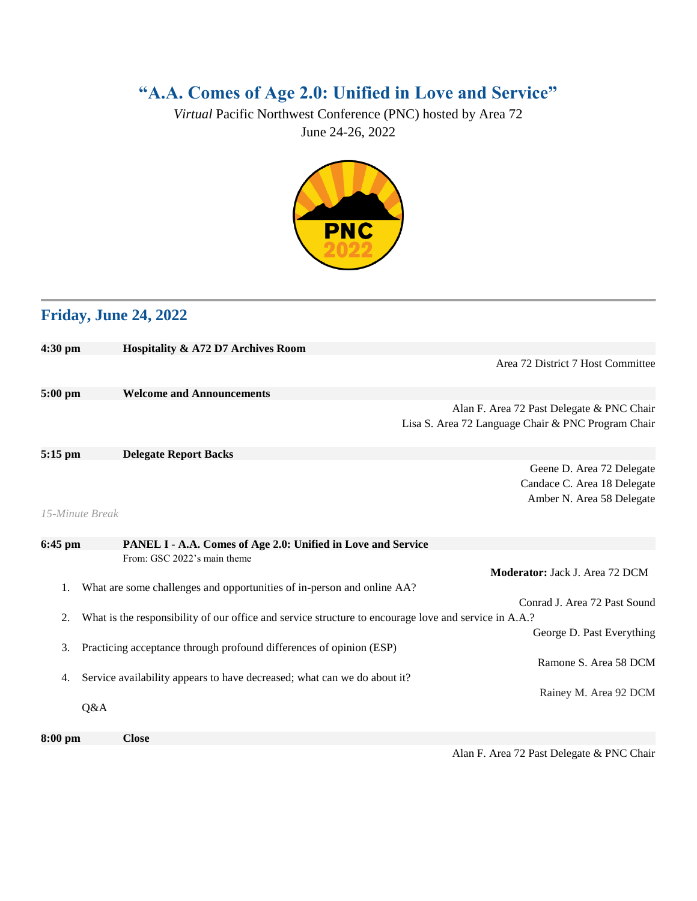## **"A.A. Comes of Age 2.0: Unified in Love and Service"**

*Virtual* Pacific Northwest Conference (PNC) hosted by Area 72 June 24-26, 2022



## **Friday, June 24, 2022**

| $4:30$ pm         | Hospitality & A72 D7 Archives Room                                                                    |
|-------------------|-------------------------------------------------------------------------------------------------------|
|                   | Area 72 District 7 Host Committee                                                                     |
|                   |                                                                                                       |
| $5:00$ pm         | <b>Welcome and Announcements</b>                                                                      |
|                   | Alan F. Area 72 Past Delegate & PNC Chair                                                             |
|                   | Lisa S. Area 72 Language Chair & PNC Program Chair                                                    |
|                   |                                                                                                       |
| $5:15$ pm         | <b>Delegate Report Backs</b>                                                                          |
|                   | Geene D. Area 72 Delegate                                                                             |
|                   | Candace C. Area 18 Delegate                                                                           |
|                   | Amber N. Area 58 Delegate                                                                             |
| 15-Minute Break   |                                                                                                       |
|                   |                                                                                                       |
| $6:45$ pm         | PANEL I - A.A. Comes of Age 2.0: Unified in Love and Service                                          |
|                   | From: GSC 2022's main theme                                                                           |
|                   | <b>Moderator:</b> Jack J. Area 72 DCM                                                                 |
|                   | What are some challenges and opportunities of in-person and online AA?                                |
|                   | Conrad J. Area 72 Past Sound                                                                          |
| 2.                | What is the responsibility of our office and service structure to encourage love and service in A.A.? |
|                   | George D. Past Everything                                                                             |
| 3.                | Practicing acceptance through profound differences of opinion (ESP)                                   |
|                   | Ramone S. Area 58 DCM                                                                                 |
| 4.                | Service availability appears to have decreased; what can we do about it?                              |
|                   | Rainey M. Area 92 DCM                                                                                 |
| Q&A               |                                                                                                       |
|                   |                                                                                                       |
| $8:00 \text{ pm}$ | <b>Close</b>                                                                                          |

Alan F. Area 72 Past Delegate & PNC Chair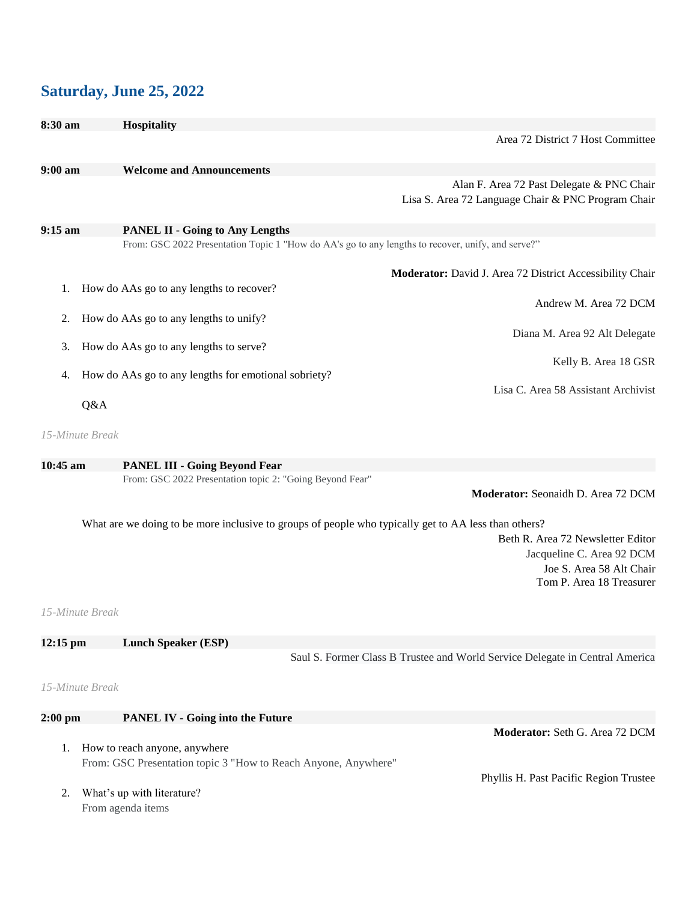## **Saturday, June 25, 2022**

| 8:30 am           | <b>Hospitality</b>                                                                                   |                                                          |
|-------------------|------------------------------------------------------------------------------------------------------|----------------------------------------------------------|
|                   |                                                                                                      | Area 72 District 7 Host Committee                        |
| $9:00 a$ m        | <b>Welcome and Announcements</b>                                                                     |                                                          |
|                   |                                                                                                      |                                                          |
|                   |                                                                                                      | Alan F. Area 72 Past Delegate & PNC Chair                |
|                   |                                                                                                      | Lisa S. Area 72 Language Chair & PNC Program Chair       |
| $9:15 \text{ am}$ | <b>PANEL II - Going to Any Lengths</b>                                                               |                                                          |
|                   | From: GSC 2022 Presentation Topic 1 "How do AA's go to any lengths to recover, unify, and serve?"    |                                                          |
|                   |                                                                                                      | Moderator: David J. Area 72 District Accessibility Chair |
|                   |                                                                                                      |                                                          |
| 1.                | How do AAs go to any lengths to recover?                                                             |                                                          |
|                   |                                                                                                      | Andrew M. Area 72 DCM                                    |
| 2.                | How do AAs go to any lengths to unify?                                                               |                                                          |
|                   |                                                                                                      | Diana M. Area 92 Alt Delegate                            |
| 3.                | How do AAs go to any lengths to serve?                                                               |                                                          |
|                   |                                                                                                      | Kelly B. Area 18 GSR                                     |
| 4.                | How do AAs go to any lengths for emotional sobriety?                                                 |                                                          |
|                   |                                                                                                      | Lisa C. Area 58 Assistant Archivist                      |
| Q&A               |                                                                                                      |                                                          |
| 15-Minute Break   |                                                                                                      |                                                          |
|                   |                                                                                                      |                                                          |
| $10:45$ am        | <b>PANEL III - Going Beyond Fear</b>                                                                 |                                                          |
|                   | From: GSC 2022 Presentation topic 2: "Going Beyond Fear"                                             |                                                          |
|                   |                                                                                                      | Moderator: Seonaidh D. Area 72 DCM                       |
|                   | What are we doing to be more inclusive to groups of people who typically get to AA less than others? |                                                          |

Beth R. Area 72 Newsletter Editor Jacqueline C. Area 92 DCM Joe S. Area 58 Alt Chair

Tom P. Area 18 Treasurer

*15-Minute Break*

| $12:15$ pm | <b>Lunch Speaker (ESP)</b> |                                                                              |
|------------|----------------------------|------------------------------------------------------------------------------|
|            |                            | Saul S. Former Class B Trustee and World Service Delegate in Central America |

## *15-Minute Break*

From agenda items

| $2:00$ pm | <b>PANEL IV - Going into the Future</b>                        |                                        |
|-----------|----------------------------------------------------------------|----------------------------------------|
|           |                                                                | <b>Moderator:</b> Seth G. Area 72 DCM  |
|           | How to reach anyone, anywhere                                  |                                        |
|           | From: GSC Presentation topic 3 "How to Reach Anyone, Anywhere" |                                        |
|           |                                                                | Phyllis H. Past Pacific Region Trustee |
|           | What's up with literature?                                     |                                        |